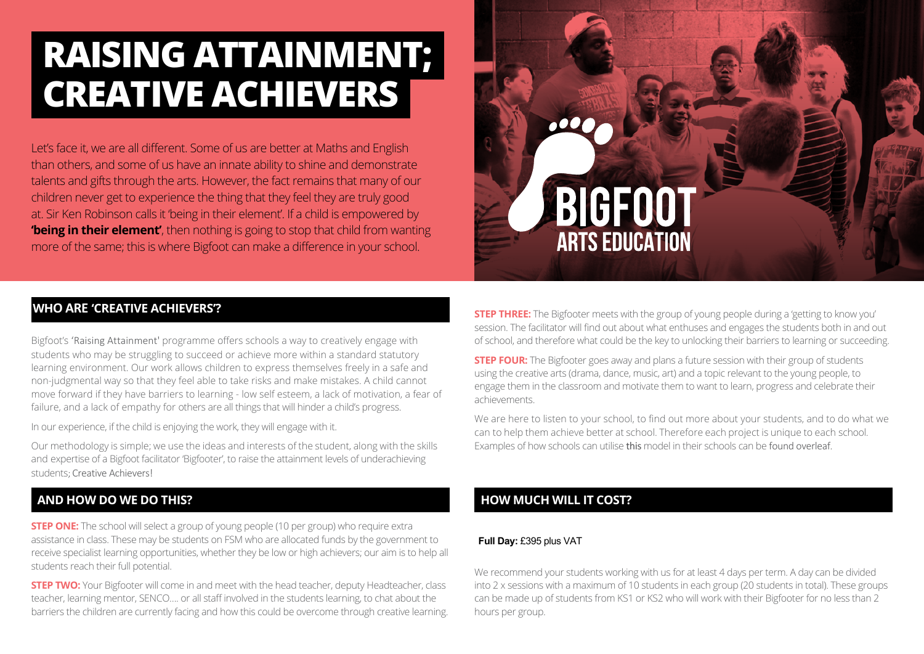# **Raising Attainment; Creative Achievers**

Let's face it, we are all different. Some of us are better at Maths and English than others, and some of us have an innate ability to shine and demonstrate talents and gifts through the arts. However, the fact remains that many of our children never get to experience the thing that they feel they are truly good at. Sir Ken Robinson calls it 'being in their element'. If a child is empowered by **'being in their element'**, then nothing is going to stop that child from wanting more of the same; this is where Bigfoot can make a difference in your school.



### **WhO ARE 'Creative aChievers'?**

Bigfoot's 'Raising Attainment' programme offers schools a way to creatively engage with students who may be struggling to succeed or achieve more within a standard statutory learning environment. Our work allows children to express themselves freely in a safe and non-judgmental way so that they feel able to take risks and make mistakes. A child cannot move forward if they have barriers to learning - low self esteem, a lack of motivation, a fear of failure, and a lack of empathy for others are all things that will hinder a child's progress.

In our experience, if the child is enjoying the work, they will engage with it.

Our methodology is simple; we use the ideas and interests of the student, along with the skills and expertise of a Bigfoot facilitator 'Bigfooter', to raise the attainment levels of underachieving students; Creative Achievers!

## **And how do we do this?**

**STEP ONE:** The school will select a group of young people (10 per group) who require extra assistance in class. These may be students on FSM who are allocated funds by the government to receive specialist learning opportunities, whether they be low or high achievers; our aim is to help all students reach their full potential.

**Step Two:** Your Bigfooter will come in and meet with the head teacher, deputy Headteacher, class teacher, learning mentor, SENCO…. or all staff involved in the students learning, to chat about the barriers the children are currently facing and how this could be overcome through creative learning.

**step three:** The Bigfooter meets with the group of young people during a 'getting to know you' session. The facilitator will find out about what enthuses and engages the students both in and out of school, and therefore what could be the key to unlocking their barriers to learning or succeeding.

**STEP FOUR:** The Bigfooter goes away and plans a future session with their group of students using the creative arts (drama, dance, music, art) and a topic relevant to the young people, to engage them in the classroom and motivate them to want to learn, progress and celebrate their achievements.

We are here to listen to your school, to find out more about your students, and to do what we can to help them achieve better at school. Therefore each project is unique to each school. Examples of how schools can utilise this model in their schools can be found overleaf.

## **How much will it cost?**

#### **Full Day:** £395 plus VAT

We recommend your students working with us for at least 4 days per term. A day can be divided into 2 x sessions with a maximum of 10 students in each group (20 students in total). These groups can be made up of students from KS1 or KS2 who will work with their Bigfooter for no less than 2 hours per group.